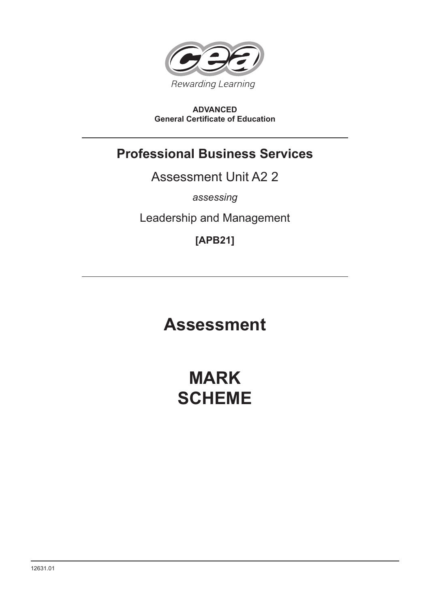

# **ADVANCED General Certificate of Education**

# **Professional Business Services**

Assessment Unit A2 2

*assessing*

Leadership and Management

**[APB21]**

# **Assessment**

# **MARK SCHEME**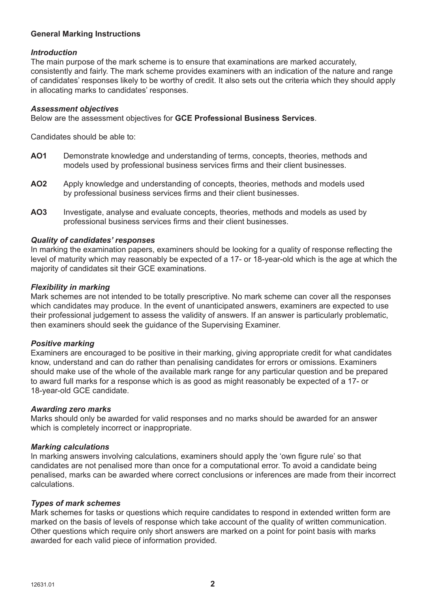# **General Marking Instructions**

# *Introduction*

The main purpose of the mark scheme is to ensure that examinations are marked accurately, consistently and fairly. The mark scheme provides examiners with an indication of the nature and range of candidates' responses likely to be worthy of credit. It also sets out the criteria which they should apply in allocating marks to candidates' responses.

#### *Assessment objectives*

Below are the assessment objectives for **GCE Professional Business Services**.

Candidates should be able to:

- **AO1** Demonstrate knowledge and understanding of terms, concepts, theories, methods and models used by professional business services firms and their client businesses.
- **AO2** Apply knowledge and understanding of concepts, theories, methods and models used by professional business services firms and their client businesses.
- **AO3** Investigate, analyse and evaluate concepts, theories, methods and models as used by professional business services firms and their client businesses.

#### *Quality of candidates' responses*

In marking the examination papers, examiners should be looking for a quality of response reflecting the level of maturity which may reasonably be expected of a 17- or 18-year-old which is the age at which the majority of candidates sit their GCE examinations.

#### *Flexibility in marking*

Mark schemes are not intended to be totally prescriptive. No mark scheme can cover all the responses which candidates may produce. In the event of unanticipated answers, examiners are expected to use their professional judgement to assess the validity of answers. If an answer is particularly problematic, then examiners should seek the guidance of the Supervising Examiner.

# *Positive marking*

Examiners are encouraged to be positive in their marking, giving appropriate credit for what candidates know, understand and can do rather than penalising candidates for errors or omissions. Examiners should make use of the whole of the available mark range for any particular question and be prepared to award full marks for a response which is as good as might reasonably be expected of a 17- or 18-year-old GCE candidate.

#### *Awarding zero marks*

Marks should only be awarded for valid responses and no marks should be awarded for an answer which is completely incorrect or inappropriate.

#### *Marking calculations*

In marking answers involving calculations, examiners should apply the 'own figure rule' so that candidates are not penalised more than once for a computational error. To avoid a candidate being penalised, marks can be awarded where correct conclusions or inferences are made from their incorrect calculations.

#### *Types of mark schemes*

Mark schemes for tasks or questions which require candidates to respond in extended written form are marked on the basis of levels of response which take account of the quality of written communication. Other questions which require only short answers are marked on a point for point basis with marks awarded for each valid piece of information provided.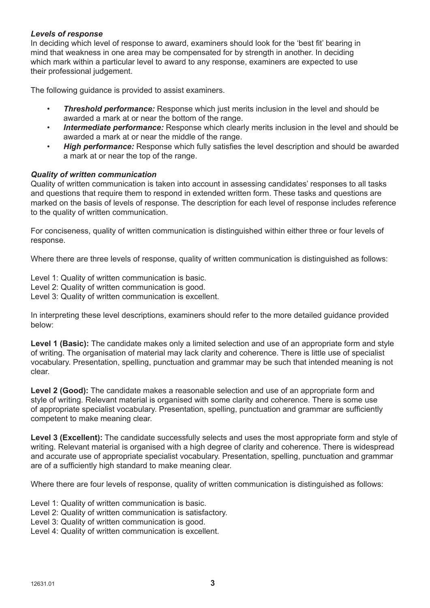# *Levels of response*

In deciding which level of response to award, examiners should look for the 'best fit' bearing in mind that weakness in one area may be compensated for by strength in another. In deciding which mark within a particular level to award to any response, examiners are expected to use their professional judgement.

The following guidance is provided to assist examiners.

- **Threshold performance:** Response which just merits inclusion in the level and should be awarded a mark at or near the bottom of the range.
- *Intermediate performance:* Response which clearly merits inclusion in the level and should be awarded a mark at or near the middle of the range.
- *High performance:* Response which fully satisfies the level description and should be awarded a mark at or near the top of the range.

# *Quality of written communication*

Quality of written communication is taken into account in assessing candidates' responses to all tasks and questions that require them to respond in extended written form. These tasks and questions are marked on the basis of levels of response. The description for each level of response includes reference to the quality of written communication.

For conciseness, quality of written communication is distinguished within either three or four levels of response.

Where there are three levels of response, quality of written communication is distinguished as follows:

Level 1: Quality of written communication is basic.

Level 2: Quality of written communication is good.

Level 3: Quality of written communication is excellent.

In interpreting these level descriptions, examiners should refer to the more detailed guidance provided below:

Level 1 (Basic): The candidate makes only a limited selection and use of an appropriate form and style of writing. The organisation of material may lack clarity and coherence. There is little use of specialist vocabulary. Presentation, spelling, punctuation and grammar may be such that intended meaning is not clear.

**Level 2 (Good):** The candidate makes a reasonable selection and use of an appropriate form and style of writing. Relevant material is organised with some clarity and coherence. There is some use of appropriate specialist vocabulary. Presentation, spelling, punctuation and grammar are sufficiently competent to make meaning clear.

**Level 3 (Excellent):** The candidate successfully selects and uses the most appropriate form and style of writing. Relevant material is organised with a high degree of clarity and coherence. There is widespread and accurate use of appropriate specialist vocabulary. Presentation, spelling, punctuation and grammar are of a sufficiently high standard to make meaning clear.

Where there are four levels of response, quality of written communication is distinguished as follows:

Level 1: Quality of written communication is basic.

Level 2: Quality of written communication is satisfactory.

Level 3: Quality of written communication is good.

Level 4: Quality of written communication is excellent.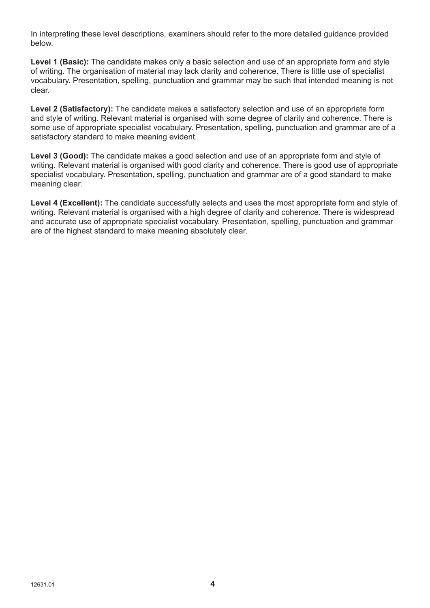In interpreting these level descriptions, examiners should refer to the more detailed guidance provided below.

**Level 1 (Basic):** The candidate makes only a basic selection and use of an appropriate form and style of writing. The organisation of material may lack clarity and coherence. There is little use of specialist vocabulary. Presentation, spelling, punctuation and grammar may be such that intended meaning is not clear.

**Level 2 (Satisfactory):** The candidate makes a satisfactory selection and use of an appropriate form and style of writing. Relevant material is organised with some degree of clarity and coherence. There is some use of appropriate specialist vocabulary. Presentation, spelling, punctuation and grammar are of a satisfactory standard to make meaning evident.

**Level 3 (Good):** The candidate makes a good selection and use of an appropriate form and style of writing. Relevant material is organised with good clarity and coherence. There is good use of appropriate specialist vocabulary. Presentation, spelling, punctuation and grammar are of a good standard to make meaning clear.

Level 4 (Excellent): The candidate successfully selects and uses the most appropriate form and style of writing. Relevant material is organised with a high degree of clarity and coherence. There is widespread and accurate use of appropriate specialist vocabulary. Presentation, spelling, punctuation and grammar are of the highest standard to make meaning absolutely clear.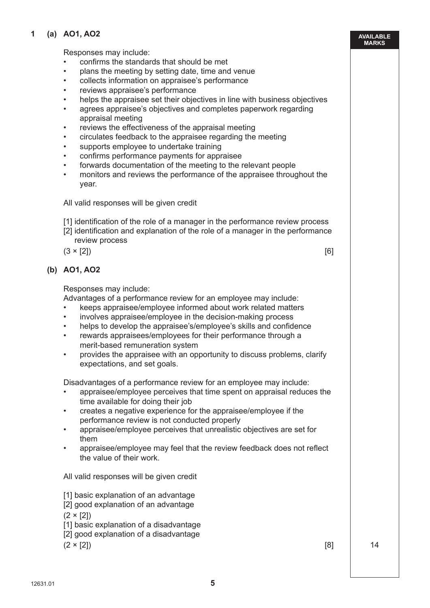# **1 (a) AO1, AO2**

Responses may include:

- confirms the standards that should be met
- plans the meeting by setting date, time and venue
- collects information on appraisee's performance
- reviews appraisee's performance
- helps the appraisee set their objectives in line with business objectives
- agrees appraisee's objectives and completes paperwork regarding appraisal meeting
- reviews the effectiveness of the appraisal meeting
- circulates feedback to the appraisee regarding the meeting
- supports employee to undertake training
- confirms performance payments for appraisee
- forwards documentation of the meeting to the relevant people
- monitors and reviews the performance of the appraisee throughout the year.

All valid responses will be given credit

[1] identification of the role of a manager in the performance review process

 [2] identification and explanation of the role of a manager in the performance review process

 $(3 \times [2])$  [6]

**AVAILABLE MARKS**

# **(b) AO1, AO2**

Responses may include:

Advantages of a performance review for an employee may include:

- keeps appraisee/employee informed about work related matters
- involves appraisee/employee in the decision-making process
- helps to develop the appraisee's/employee's skills and confidence
- rewards appraisees/employees for their performance through a merit-based remuneration system
- provides the appraisee with an opportunity to discuss problems, clarify expectations, and set goals.

Disadvantages of a performance review for an employee may include:

- appraisee/employee perceives that time spent on appraisal reduces the time available for doing their job
- creates a negative experience for the appraisee/employee if the performance review is not conducted properly
- appraisee/employee perceives that unrealistic objectives are set for them
- appraisee/employee may feel that the review feedback does not reflect the value of their work.

All valid responses will be given credit

- [1] basic explanation of an advantage
- [2] good explanation of an advantage
- $(2 \times 12)$
- [1] basic explanation of a disadvantage
- [2] good explanation of a disadvantage

 $(2 \times [2])$  14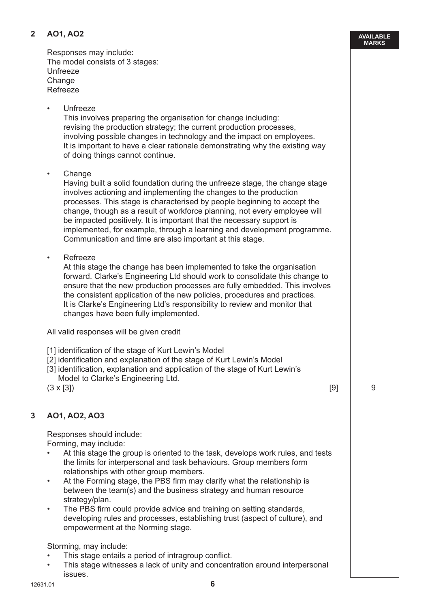# **2 AO1, AO2**

Responses may include: The model consists of 3 stages: Unfreeze Change Refreeze

• Unfreeze

 This involves preparing the organisation for change including: revising the production strategy; the current production processes, involving possible changes in technology and the impact on employees. It is important to have a clear rationale demonstrating why the existing way of doing things cannot continue.

• Change

 Having built a solid foundation during the unfreeze stage, the change stage involves actioning and implementing the changes to the production processes. This stage is characterised by people beginning to accept the change, though as a result of workforce planning, not every employee will be impacted positively. It is important that the necessary support is implemented, for example, through a learning and development programme. Communication and time are also important at this stage.

• Refreeze

 At this stage the change has been implemented to take the organisation forward. Clarke's Engineering Ltd should work to consolidate this change to ensure that the new production processes are fully embedded. This involves the consistent application of the new policies, procedures and practices. It is Clarke's Engineering Ltd's responsibility to review and monitor that changes have been fully implemented.

All valid responses will be given credit

- [1] identification of the stage of Kurt Lewin's Model
- [2] identification and explanation of the stage of Kurt Lewin's Model
- [3] identification, explanation and application of the stage of Kurt Lewin's Model to Clarke's Engineering Ltd.

 $(3 \times [3])$  9

# **3 AO1, AO2, AO3**

Responses should include: Forming, may include:

- At this stage the group is oriented to the task, develops work rules, and tests the limits for interpersonal and task behaviours. Group members form relationships with other group members.
- At the Forming stage, the PBS firm may clarify what the relationship is between the team(s) and the business strategy and human resource strategy/plan.
- The PBS firm could provide advice and training on setting standards, developing rules and processes, establishing trust (aspect of culture), and empowerment at the Norming stage.

# Storming, may include:

- This stage entails a period of intragroup conflict.
- This stage witnesses a lack of unity and concentration around interpersonal issues.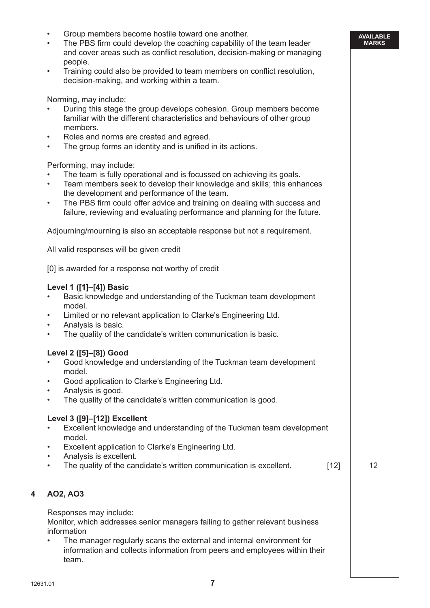- Group members become hostile toward one another.
- The PBS firm could develop the coaching capability of the team leader and cover areas such as conflict resolution, decision-making or managing people.
- Training could also be provided to team members on conflict resolution, decision-making, and working within a team.

Norming, may include:

- During this stage the group develops cohesion. Group members become familiar with the different characteristics and behaviours of other group members.
- Roles and norms are created and agreed.
- The group forms an identity and is unified in its actions.

Performing, may include:

- The team is fully operational and is focussed on achieving its goals.
- Team members seek to develop their knowledge and skills; this enhances the development and performance of the team.
- The PBS firm could offer advice and training on dealing with success and failure, reviewing and evaluating performance and planning for the future.

Adjourning/mourning is also an acceptable response but not a requirement.

All valid responses will be given credit

[0] is awarded for a response not worthy of credit

# **Level 1 ([1]–[4]) Basic**

- Basic knowledge and understanding of the Tuckman team development model.
- Limited or no relevant application to Clarke's Engineering Ltd.
- Analysis is basic.
- The quality of the candidate's written communication is basic.

# **Level 2 ([5]–[8]) Good**

- Good knowledge and understanding of the Tuckman team development model.
- Good application to Clarke's Engineering Ltd.
- Analysis is good.
- The quality of the candidate's written communication is good.

#### **Level 3 ([9]–[12]) Excellent**

- Excellent knowledge and understanding of the Tuckman team development model.
- Excellent application to Clarke's Engineering Ltd.
- Analysis is excellent.
- The quality of the candidate's written communication is excellent.  $[12]$  12

**AVAILABLE MARKS**

# **4 AO2, AO3**

Responses may include: Monitor, which addresses senior managers failing to gather relevant business information

• The manager regularly scans the external and internal environment for information and collects information from peers and employees within their team.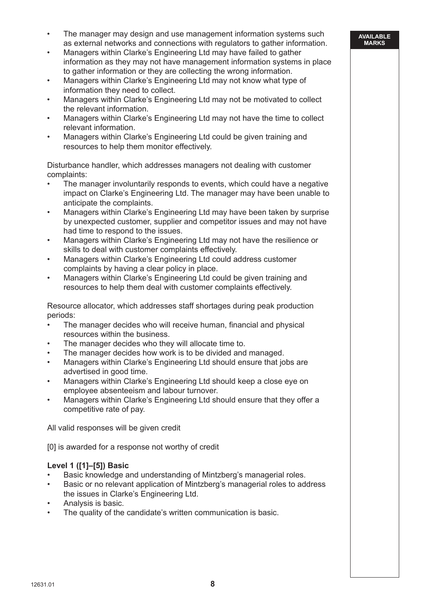- The manager may design and use management information systems such as external networks and connections with regulators to gather information.
- Managers within Clarke's Engineering Ltd may have failed to gather information as they may not have management information systems in place to gather information or they are collecting the wrong information.
- Managers within Clarke's Engineering Ltd may not know what type of information they need to collect.
- Managers within Clarke's Engineering Ltd may not be motivated to collect the relevant information.
- Managers within Clarke's Engineering Ltd may not have the time to collect relevant information.
- Managers within Clarke's Engineering Ltd could be given training and resources to help them monitor effectively.

Disturbance handler, which addresses managers not dealing with customer complaints:

- The manager involuntarily responds to events, which could have a negative impact on Clarke's Engineering Ltd. The manager may have been unable to anticipate the complaints.
- Managers within Clarke's Engineering Ltd may have been taken by surprise by unexpected customer, supplier and competitor issues and may not have had time to respond to the issues.
- Managers within Clarke's Engineering Ltd may not have the resilience or skills to deal with customer complaints effectively.
- Managers within Clarke's Engineering Ltd could address customer complaints by having a clear policy in place.
- Managers within Clarke's Engineering Ltd could be given training and resources to help them deal with customer complaints effectively.

Resource allocator, which addresses staff shortages during peak production periods:

- The manager decides who will receive human, financial and physical resources within the business.
- The manager decides who they will allocate time to.
- The manager decides how work is to be divided and managed.
- Managers within Clarke's Engineering Ltd should ensure that jobs are advertised in good time.
- Managers within Clarke's Engineering Ltd should keep a close eye on employee absenteeism and labour turnover.
- Managers within Clarke's Engineering Ltd should ensure that they offer a competitive rate of pay.

All valid responses will be given credit

[0] is awarded for a response not worthy of credit

# **Level 1 ([1]–[5]) Basic**

- Basic knowledge and understanding of Mintzberg's managerial roles.
- Basic or no relevant application of Mintzberg's managerial roles to address the issues in Clarke's Engineering Ltd.
- Analysis is basic.
- The quality of the candidate's written communication is basic.

#### **AVAILABLE MARKS**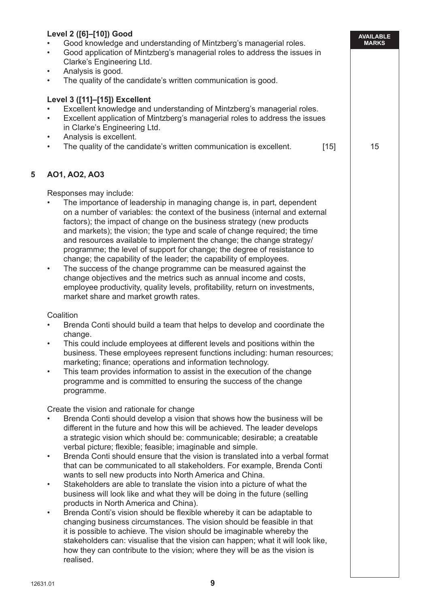|   | Level 2 ([6]-[10]) Good                                                                                                                                                                                                                                                                                                                                                                                                                                                                                                                                                                                                                                                                                                                                                                                                                                                                                                                                                                                                                                                                                                                                                                                                                                                                                                                                                                                                                                                                                                                                                                                                                                                                                                                                                                                                                                                                                                                                                                                                                                                                                                                                                                                                                                                                                                                                                                                                                                                                                   | <b>AVAILABLE</b> |
|---|-----------------------------------------------------------------------------------------------------------------------------------------------------------------------------------------------------------------------------------------------------------------------------------------------------------------------------------------------------------------------------------------------------------------------------------------------------------------------------------------------------------------------------------------------------------------------------------------------------------------------------------------------------------------------------------------------------------------------------------------------------------------------------------------------------------------------------------------------------------------------------------------------------------------------------------------------------------------------------------------------------------------------------------------------------------------------------------------------------------------------------------------------------------------------------------------------------------------------------------------------------------------------------------------------------------------------------------------------------------------------------------------------------------------------------------------------------------------------------------------------------------------------------------------------------------------------------------------------------------------------------------------------------------------------------------------------------------------------------------------------------------------------------------------------------------------------------------------------------------------------------------------------------------------------------------------------------------------------------------------------------------------------------------------------------------------------------------------------------------------------------------------------------------------------------------------------------------------------------------------------------------------------------------------------------------------------------------------------------------------------------------------------------------------------------------------------------------------------------------------------------------|------------------|
|   | Good knowledge and understanding of Mintzberg's managerial roles.<br>Good application of Mintzberg's managerial roles to address the issues in<br>$\bullet$                                                                                                                                                                                                                                                                                                                                                                                                                                                                                                                                                                                                                                                                                                                                                                                                                                                                                                                                                                                                                                                                                                                                                                                                                                                                                                                                                                                                                                                                                                                                                                                                                                                                                                                                                                                                                                                                                                                                                                                                                                                                                                                                                                                                                                                                                                                                               | <b>MARKS</b>     |
|   | Clarke's Engineering Ltd.                                                                                                                                                                                                                                                                                                                                                                                                                                                                                                                                                                                                                                                                                                                                                                                                                                                                                                                                                                                                                                                                                                                                                                                                                                                                                                                                                                                                                                                                                                                                                                                                                                                                                                                                                                                                                                                                                                                                                                                                                                                                                                                                                                                                                                                                                                                                                                                                                                                                                 |                  |
|   | Analysis is good.<br>$\bullet$<br>The quality of the candidate's written communication is good.<br>$\bullet$                                                                                                                                                                                                                                                                                                                                                                                                                                                                                                                                                                                                                                                                                                                                                                                                                                                                                                                                                                                                                                                                                                                                                                                                                                                                                                                                                                                                                                                                                                                                                                                                                                                                                                                                                                                                                                                                                                                                                                                                                                                                                                                                                                                                                                                                                                                                                                                              |                  |
|   | Level 3 ([11]-[15]) Excellent                                                                                                                                                                                                                                                                                                                                                                                                                                                                                                                                                                                                                                                                                                                                                                                                                                                                                                                                                                                                                                                                                                                                                                                                                                                                                                                                                                                                                                                                                                                                                                                                                                                                                                                                                                                                                                                                                                                                                                                                                                                                                                                                                                                                                                                                                                                                                                                                                                                                             |                  |
|   | Excellent knowledge and understanding of Mintzberg's managerial roles.<br>Excellent application of Mintzberg's managerial roles to address the issues<br>$\bullet$<br>in Clarke's Engineering Ltd.                                                                                                                                                                                                                                                                                                                                                                                                                                                                                                                                                                                                                                                                                                                                                                                                                                                                                                                                                                                                                                                                                                                                                                                                                                                                                                                                                                                                                                                                                                                                                                                                                                                                                                                                                                                                                                                                                                                                                                                                                                                                                                                                                                                                                                                                                                        |                  |
|   | Analysis is excellent.<br>$\bullet$                                                                                                                                                                                                                                                                                                                                                                                                                                                                                                                                                                                                                                                                                                                                                                                                                                                                                                                                                                                                                                                                                                                                                                                                                                                                                                                                                                                                                                                                                                                                                                                                                                                                                                                                                                                                                                                                                                                                                                                                                                                                                                                                                                                                                                                                                                                                                                                                                                                                       |                  |
|   | The quality of the candidate's written communication is excellent.<br>$[15]$<br>$\bullet$                                                                                                                                                                                                                                                                                                                                                                                                                                                                                                                                                                                                                                                                                                                                                                                                                                                                                                                                                                                                                                                                                                                                                                                                                                                                                                                                                                                                                                                                                                                                                                                                                                                                                                                                                                                                                                                                                                                                                                                                                                                                                                                                                                                                                                                                                                                                                                                                                 | 15               |
| 5 | AO1, AO2, AO3                                                                                                                                                                                                                                                                                                                                                                                                                                                                                                                                                                                                                                                                                                                                                                                                                                                                                                                                                                                                                                                                                                                                                                                                                                                                                                                                                                                                                                                                                                                                                                                                                                                                                                                                                                                                                                                                                                                                                                                                                                                                                                                                                                                                                                                                                                                                                                                                                                                                                             |                  |
|   | Responses may include:<br>The importance of leadership in managing change is, in part, dependent<br>on a number of variables: the context of the business (internal and external<br>factors); the impact of change on the business strategy (new products<br>and markets); the vision; the type and scale of change required; the time<br>and resources available to implement the change; the change strategy/<br>programme; the level of support for change; the degree of resistance to<br>change; the capability of the leader; the capability of employees.<br>The success of the change programme can be measured against the<br>$\bullet$<br>change objectives and the metrics such as annual income and costs,<br>employee productivity, quality levels, profitability, return on investments,<br>market share and market growth rates.<br>Coalition<br>Brenda Conti should build a team that helps to develop and coordinate the<br>change.<br>This could include employees at different levels and positions within the<br>$\bullet$<br>business. These employees represent functions including: human resources;<br>marketing; finance; operations and information technology.<br>This team provides information to assist in the execution of the change<br>$\bullet$<br>programme and is committed to ensuring the success of the change<br>programme.<br>Create the vision and rationale for change<br>Brenda Conti should develop a vision that shows how the business will be<br>different in the future and how this will be achieved. The leader develops<br>a strategic vision which should be: communicable; desirable; a creatable<br>verbal picture; flexible; feasible; imaginable and simple.<br>Brenda Conti should ensure that the vision is translated into a verbal format<br>$\bullet$<br>that can be communicated to all stakeholders. For example, Brenda Conti<br>wants to sell new products into North America and China.<br>Stakeholders are able to translate the vision into a picture of what the<br>$\bullet$<br>business will look like and what they will be doing in the future (selling<br>products in North America and China).<br>Brenda Conti's vision should be flexible whereby it can be adaptable to<br>$\bullet$<br>changing business circumstances. The vision should be feasible in that<br>it is possible to achieve. The vision should be imaginable whereby the<br>stakeholders can: visualise that the vision can happen; what it will look like, |                  |
|   | how they can contribute to the vision; where they will be as the vision is<br>realised.                                                                                                                                                                                                                                                                                                                                                                                                                                                                                                                                                                                                                                                                                                                                                                                                                                                                                                                                                                                                                                                                                                                                                                                                                                                                                                                                                                                                                                                                                                                                                                                                                                                                                                                                                                                                                                                                                                                                                                                                                                                                                                                                                                                                                                                                                                                                                                                                                   |                  |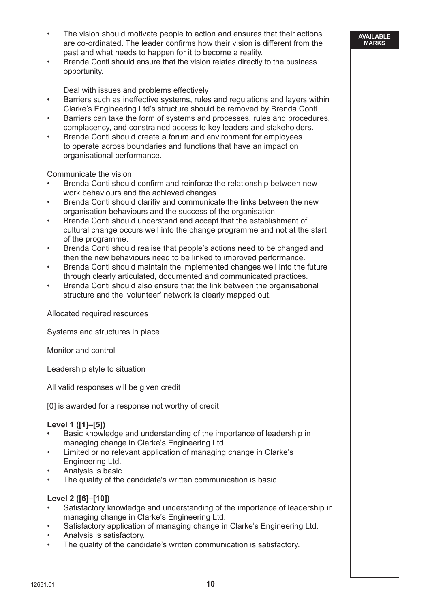The vision should motivate people to action and ensures that their actions are co-ordinated. The leader confirms how their vision is different from the past and what needs to happen for it to become a reality.

**AVAILABLE MARKS**

• Brenda Conti should ensure that the vision relates directly to the business opportunity.

Deal with issues and problems effectively

- Barriers such as ineffective systems, rules and regulations and layers within Clarke's Engineering Ltd's structure should be removed by Brenda Conti.
- Barriers can take the form of systems and processes, rules and procedures, complacency, and constrained access to key leaders and stakeholders.
- Brenda Conti should create a forum and environment for employees to operate across boundaries and functions that have an impact on organisational performance.

Communicate the vision

- Brenda Conti should confirm and reinforce the relationship between new work behaviours and the achieved changes.
- Brenda Conti should clarifiy and communicate the links between the new organisation behaviours and the success of the organisation.
- Brenda Conti should understand and accept that the establishment of cultural change occurs well into the change programme and not at the start of the programme.
- Brenda Conti should realise that people's actions need to be changed and then the new behaviours need to be linked to improved performance.
- Brenda Conti should maintain the implemented changes well into the future through clearly articulated, documented and communicated practices.
- Brenda Conti should also ensure that the link between the organisational structure and the 'volunteer' network is clearly mapped out.

Allocated required resources

Systems and structures in place

Monitor and control

Leadership style to situation

All valid responses will be given credit

[0] is awarded for a response not worthy of credit

# **Level 1 ([1]–[5])**

- Basic knowledge and understanding of the importance of leadership in managing change in Clarke's Engineering Ltd.
- Limited or no relevant application of managing change in Clarke's Engineering Ltd.
- Analysis is basic.
- The quality of the candidate's written communication is basic.

# **Level 2 ([6]–[10])**

- Satisfactory knowledge and understanding of the importance of leadership in managing change in Clarke's Engineering Ltd.
- Satisfactory application of managing change in Clarke's Engineering Ltd.
- Analysis is satisfactory.
- The quality of the candidate's written communication is satisfactory.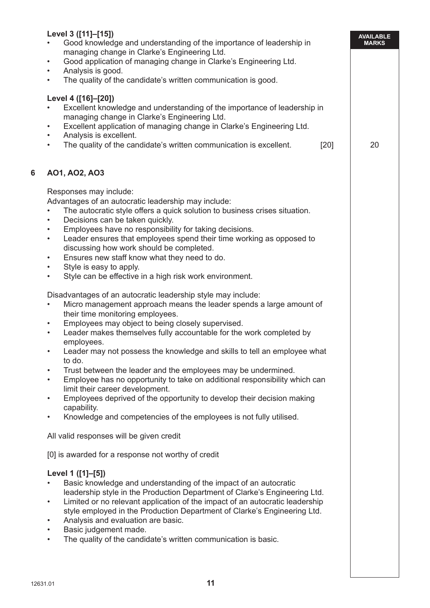| Level 3 ([11]-[15])<br>$\bullet$<br>Analysis is good.<br>$\bullet$<br>$\bullet$<br>Level 4 ([16]-[20])                                                                                                                                                                                                                                                                                                                                                                                                                                                          | Good knowledge and understanding of the importance of leadership in<br>managing change in Clarke's Engineering Ltd.<br>Good application of managing change in Clarke's Engineering Ltd.<br>The quality of the candidate's written communication is good.<br>Excellent knowledge and understanding of the importance of leadership in<br>managing change in Clarke's Engineering Ltd.                                                                                                                                                                                                                                                                                                                                                                                                                                                                                                                                                                                                                                                                                                                                                                                                                                                                                                                                                                                                                                                                                                                           |        | <b>AVAILABLE</b><br><b>MARKS</b> |
|-----------------------------------------------------------------------------------------------------------------------------------------------------------------------------------------------------------------------------------------------------------------------------------------------------------------------------------------------------------------------------------------------------------------------------------------------------------------------------------------------------------------------------------------------------------------|----------------------------------------------------------------------------------------------------------------------------------------------------------------------------------------------------------------------------------------------------------------------------------------------------------------------------------------------------------------------------------------------------------------------------------------------------------------------------------------------------------------------------------------------------------------------------------------------------------------------------------------------------------------------------------------------------------------------------------------------------------------------------------------------------------------------------------------------------------------------------------------------------------------------------------------------------------------------------------------------------------------------------------------------------------------------------------------------------------------------------------------------------------------------------------------------------------------------------------------------------------------------------------------------------------------------------------------------------------------------------------------------------------------------------------------------------------------------------------------------------------------|--------|----------------------------------|
| $\bullet$<br>Analysis is excellent.<br>$\bullet$<br>$\bullet$                                                                                                                                                                                                                                                                                                                                                                                                                                                                                                   | Excellent application of managing change in Clarke's Engineering Ltd.<br>The quality of the candidate's written communication is excellent.                                                                                                                                                                                                                                                                                                                                                                                                                                                                                                                                                                                                                                                                                                                                                                                                                                                                                                                                                                                                                                                                                                                                                                                                                                                                                                                                                                    | $[20]$ | 20                               |
| 6<br>AO1, AO2, AO3                                                                                                                                                                                                                                                                                                                                                                                                                                                                                                                                              |                                                                                                                                                                                                                                                                                                                                                                                                                                                                                                                                                                                                                                                                                                                                                                                                                                                                                                                                                                                                                                                                                                                                                                                                                                                                                                                                                                                                                                                                                                                |        |                                  |
| Responses may include:<br>Decisions can be taken quickly.<br>$\bullet$<br>$\bullet$<br>$\bullet$<br>$\bullet$<br>Style is easy to apply.<br>$\bullet$<br>$\bullet$<br>$\bullet$<br>their time monitoring employees.<br>$\bullet$<br>$\bullet$<br>employees.<br>to do.<br>$\bullet$<br>$\bullet$<br>limit their career development.<br>$\bullet$<br>capability.<br>$\bullet$<br>All valid responses will be given credit<br>Level 1 ([1]-[5])<br>$\bullet$<br>Analysis and evaluation are basic.<br>$\bullet$<br>Basic judgement made.<br>$\bullet$<br>$\bullet$ | Advantages of an autocratic leadership may include:<br>The autocratic style offers a quick solution to business crises situation.<br>Employees have no responsibility for taking decisions.<br>Leader ensures that employees spend their time working as opposed to<br>discussing how work should be completed.<br>Ensures new staff know what they need to do.<br>Style can be effective in a high risk work environment.<br>Disadvantages of an autocratic leadership style may include:<br>Micro management approach means the leader spends a large amount of<br>Employees may object to being closely supervised.<br>Leader makes themselves fully accountable for the work completed by<br>Leader may not possess the knowledge and skills to tell an employee what<br>Trust between the leader and the employees may be undermined.<br>Employee has no opportunity to take on additional responsibility which can<br>Employees deprived of the opportunity to develop their decision making<br>Knowledge and competencies of the employees is not fully utilised.<br>[0] is awarded for a response not worthy of credit<br>Basic knowledge and understanding of the impact of an autocratic<br>leadership style in the Production Department of Clarke's Engineering Ltd.<br>Limited or no relevant application of the impact of an autocratic leadership<br>style employed in the Production Department of Clarke's Engineering Ltd.<br>The quality of the candidate's written communication is basic. |        |                                  |